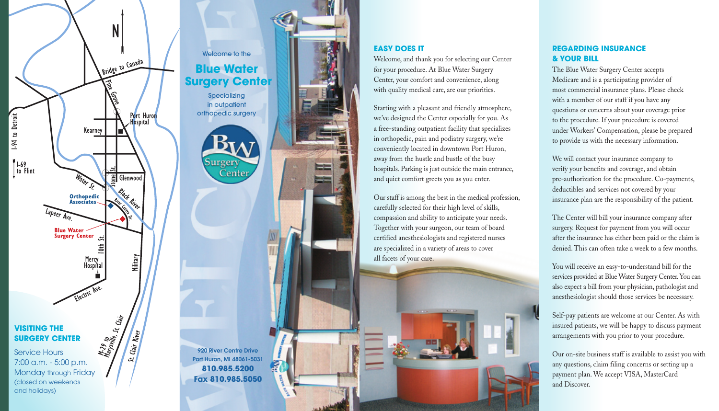

# **EASY DOES IT** Welcome, and thank you for selecting our Center for your procedure. At Blue Water Surgery Center, your comfort and convenience, along

with quality medical care, are our priorities.

Starting with a pleasant and friendly atmosphere, we've designed the Center especially for you. As a free-standing outpatient facility that specializes in orthopedic, pain and podiatry surgery, we're conveniently located in downtown Port Huron, away from the hustle and bustle of the busy hospitals. Parking is just outside the main entrance, and quiet comfort greets you as you enter.

Our staff is among the best in the medical profession, carefully selected for their high level of skills, compassion and ability to anticipate your needs. Together with your surgeon, our team of board certified anesthesiologists and registered nurses are specialized in a variety of areas to cover all facets of your care.

## **REGARDING INSURANCE & YOUR BILL**

Welcome to the **Blue Water Surgery Center** 

The Blue Water Surgery Center accepts Medicare and is a participating provider of most commercial insurance plans. Please check with a member of our staff if you have any questions or concerns about your coverage prior to the procedure. If your procedure is covered under Workers' Compensation, please be prepared to provide us with the necessary information.

920 River Centre Drive Port Huron, MI 48061-5031 **810.985.5200 Fax 810.985.5050**

We will contact your insurance company to verify your benefits and coverage, and obtain pre-authorization for the procedure. Co-payments, deductibles and services not covered by your insurance plan are the responsibility of the patient.

The Center will bill your insurance company after surgery. Request for payment from you will occur after the insurance has either been paid or the claim is denied. This can often take a week to a few months.

You will receive an easy-to-understand bill for the services provided at Blue Water Surgery Center. You can also expect a bill from your physician, pathologist and anesthesiologist should those services be necessary.

Self-pay patients are welcome at our Center. As with insured patients, we will be happy to discuss payment arrangements with you prior to your procedure.

Our on-site business staff is available to assist you with any questions, claim filing concerns or setting up a payment plan. We accept VISA, MasterCard and Discover.

Specializing in outpatient orthopedic surgery